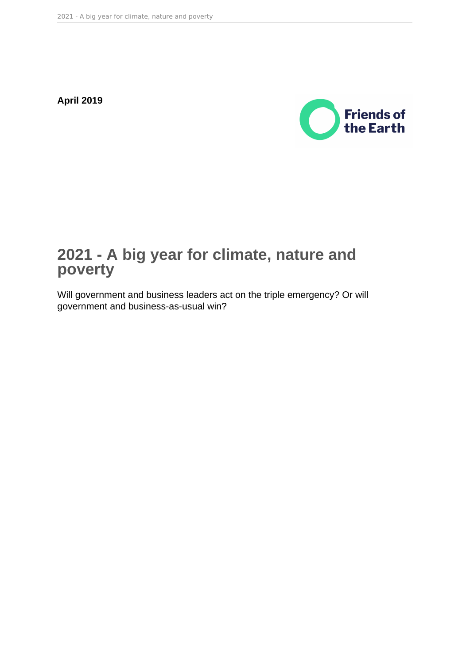**April 2019**



# **2021 - A big year for climate, nature and poverty**

Will government and business leaders act on the triple emergency? Or will government and business-as-usual win?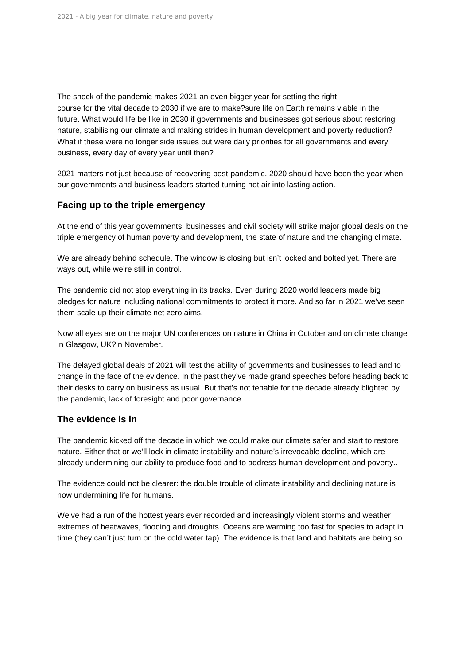The shock of the pandemic makes 2021 an even bigger year for setting the right course for the vital decade to 2030 if we are to make?sure life on Earth remains viable in the future. What would life be like in 2030 if governments and businesses got serious about restoring nature, stabilising our climate and making strides in human development and poverty reduction? What if these were no longer side issues but were daily priorities for all governments and every business, every day of every year until then?

2021 matters not just because of recovering post-pandemic. 2020 should have been the year when our governments and business leaders started turning hot air into lasting action.

## **Facing up to the triple emergency**

At the end of this year governments, businesses and civil society will strike major global deals on the triple emergency of human poverty and development, the state of nature and the changing climate.

We are already behind schedule. The window is closing but isn't locked and bolted yet. There are ways out, while we're still in control.

The pandemic did not stop everything in its tracks. Even during 2020 world leaders made big pledges for nature including national commitments to protect it more. And so far in 2021 we've seen them scale up their climate net zero aims.

Now all eyes are on the major UN conferences on nature in China in October and on climate change in Glasgow, UK?in November.

The delayed global deals of 2021 will test the ability of governments and businesses to lead and to change in the face of the evidence. In the past they've made grand speeches before heading back to their desks to carry on business as usual. But that's not tenable for the decade already blighted by the pandemic, lack of foresight and poor governance.

### **The evidence is in**

The pandemic kicked off the decade in which we could make our climate safer and start to restore nature. Either that or we'll lock in climate instability and nature's irrevocable decline, which are already undermining our ability to produce food and to address human development and poverty..

The evidence could not be clearer: the double trouble of climate instability and declining nature is now undermining life for humans.

We've had a run of the hottest years ever recorded and increasingly violent storms and weather extremes of heatwaves, flooding and droughts. Oceans are warming too fast for species to adapt in time (they can't just turn on the cold water tap). The evidence is that land and habitats are being so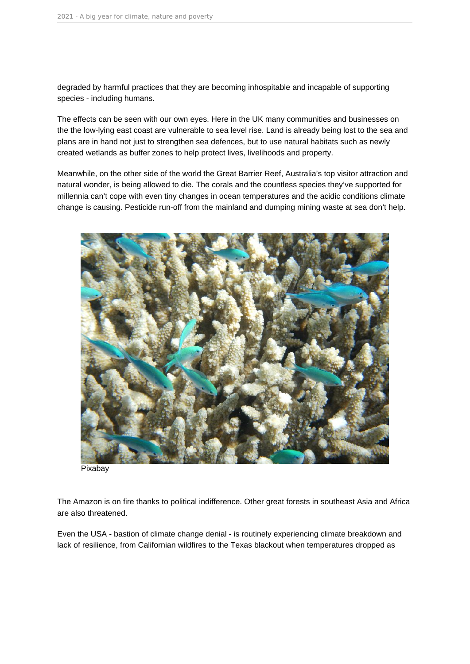degraded by harmful practices that they are becoming inhospitable and incapable of supporting species - including humans.

The effects can be seen with our own eyes. Here in the UK many communities and businesses on the the low-lying east coast are vulnerable to sea level rise. Land is already being lost to the sea and plans are in hand not just to strengthen sea defences, but to use natural habitats such as newly created wetlands as buffer zones to help protect lives, livelihoods and property.

Meanwhile, on the other side of the world the Great Barrier Reef, Australia's top visitor attraction and natural wonder, is being allowed to die. The corals and the countless species they've supported for millennia can't cope with even tiny changes in ocean temperatures and the acidic conditions climate change is causing. Pesticide run-off from the mainland and dumping mining waste at sea don't help.



Pixabay

The Amazon is on fire thanks to political indifference. Other great forests in southeast Asia and Africa are also threatened.

Even the USA - bastion of climate change denial - is routinely experiencing climate breakdown and lack of resilience, from Californian wildfires to the Texas blackout when temperatures dropped as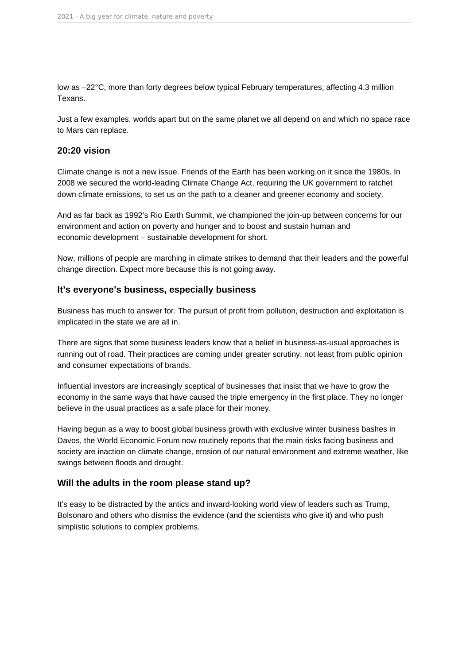low as –22°C, more than forty degrees below typical February temperatures, affecting 4.3 million Texans.

Just a few examples, worlds apart but on the same planet we all depend on and which no space race to Mars can replace.

#### **20:20 vision**

Climate change is not a new issue. Friends of the Earth has been working on it since the 1980s. In 2008 we secured the world-leading Climate Change Act, requiring the UK government to ratchet down climate emissions, to set us on the path to a cleaner and greener economy and society.

And as far back as 1992's Rio Earth Summit, we championed the join-up between concerns for our environment and action on poverty and hunger and to boost and sustain human and economic development – sustainable development for short.

Now, millions of people are marching in climate strikes to demand that their leaders and the powerful change direction. Expect more because this is not going away.

#### **It's everyone's business, especially business**

Business has much to answer for. The pursuit of profit from pollution, destruction and exploitation is implicated in the state we are all in.

There are signs that some business leaders know that a belief in business-as-usual approaches is running out of road. Their practices are coming under greater scrutiny, not least from public opinion and consumer expectations of brands.

Influential investors are increasingly sceptical of businesses that insist that we have to grow the economy in the same ways that have caused the triple emergency in the first place. They no longer believe in the usual practices as a safe place for their money.

Having begun as a way to boost global business growth with exclusive winter business bashes in Davos, the World Economic Forum now routinely reports that the main risks facing business and society are inaction on climate change, erosion of our natural environment and extreme weather, like swings between floods and drought.

#### **Will the adults in the room please stand up?**

It's easy to be distracted by the antics and inward-looking world view of leaders such as Trump, Bolsonaro and others who dismiss the evidence (and the scientists who give it) and who push simplistic solutions to complex problems.